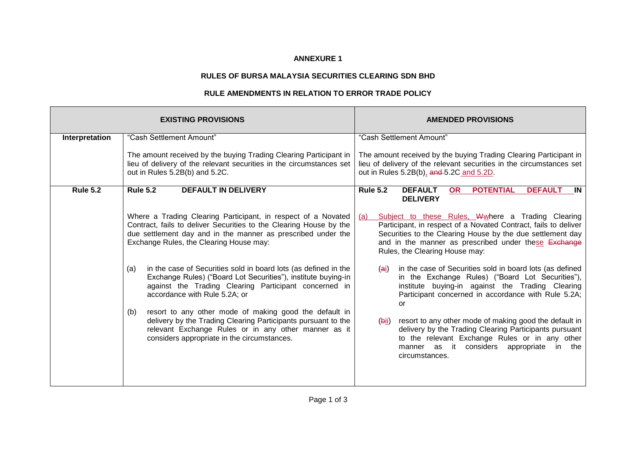## **ANNEXURE 1**

## **RULES OF BURSA MALAYSIA SECURITIES CLEARING SDN BHD**

## **RULE AMENDMENTS IN RELATION TO ERROR TRADE POLICY**

|                 | <b>EXISTING PROVISIONS</b>                                                                                                                                                                                                                                                                                                                                                                                                                                                                                                                                                                                                                                                                                                   | <b>AMENDED PROVISIONS</b>                                                                                                                                                                                                                                                                                                                                                                                                                                                                                                                                                                                                                                                                                                                                                                     |
|-----------------|------------------------------------------------------------------------------------------------------------------------------------------------------------------------------------------------------------------------------------------------------------------------------------------------------------------------------------------------------------------------------------------------------------------------------------------------------------------------------------------------------------------------------------------------------------------------------------------------------------------------------------------------------------------------------------------------------------------------------|-----------------------------------------------------------------------------------------------------------------------------------------------------------------------------------------------------------------------------------------------------------------------------------------------------------------------------------------------------------------------------------------------------------------------------------------------------------------------------------------------------------------------------------------------------------------------------------------------------------------------------------------------------------------------------------------------------------------------------------------------------------------------------------------------|
| Interpretation  | "Cash Settlement Amount"<br>The amount received by the buying Trading Clearing Participant in<br>lieu of delivery of the relevant securities in the circumstances set                                                                                                                                                                                                                                                                                                                                                                                                                                                                                                                                                        | "Cash Settlement Amount"<br>The amount received by the buying Trading Clearing Participant in<br>lieu of delivery of the relevant securities in the circumstances set                                                                                                                                                                                                                                                                                                                                                                                                                                                                                                                                                                                                                         |
| <b>Rule 5.2</b> | out in Rules 5.2B(b) and 5.2C.<br><b>Rule 5.2</b><br><b>DEFAULT IN DELIVERY</b>                                                                                                                                                                                                                                                                                                                                                                                                                                                                                                                                                                                                                                              | out in Rules 5.2B(b), and 5.2C and 5.2D.<br><b>Rule 5.2</b><br><b>POTENTIAL</b><br><b>DEFAULT</b><br><b>DEFAULT</b><br>OR<br>IN                                                                                                                                                                                                                                                                                                                                                                                                                                                                                                                                                                                                                                                               |
|                 | Where a Trading Clearing Participant, in respect of a Novated<br>Contract, fails to deliver Securities to the Clearing House by the<br>due settlement day and in the manner as prescribed under the<br>Exchange Rules, the Clearing House may:<br>in the case of Securities sold in board lots (as defined in the<br>(a)<br>Exchange Rules) ("Board Lot Securities"), institute buying-in<br>against the Trading Clearing Participant concerned in<br>accordance with Rule 5.2A; or<br>resort to any other mode of making good the default in<br>(b)<br>delivery by the Trading Clearing Participants pursuant to the<br>relevant Exchange Rules or in any other manner as it<br>considers appropriate in the circumstances. | <b>DELIVERY</b><br>Subject to these Rules, Wwhere a Trading Clearing<br>(a)<br>Participant, in respect of a Novated Contract, fails to deliver<br>Securities to the Clearing House by the due settlement day<br>and in the manner as prescribed under these Exchange<br>Rules, the Clearing House may:<br>in the case of Securities sold in board lots (as defined<br>(ai)<br>in the Exchange Rules) ("Board Lot Securities"),<br>institute buying-in against the Trading Clearing<br>Participant concerned in accordance with Rule 5.2A;<br>or<br>resort to any other mode of making good the default in<br>(bii)<br>delivery by the Trading Clearing Participants pursuant<br>to the relevant Exchange Rules or in any other<br>manner as it considers appropriate in the<br>circumstances. |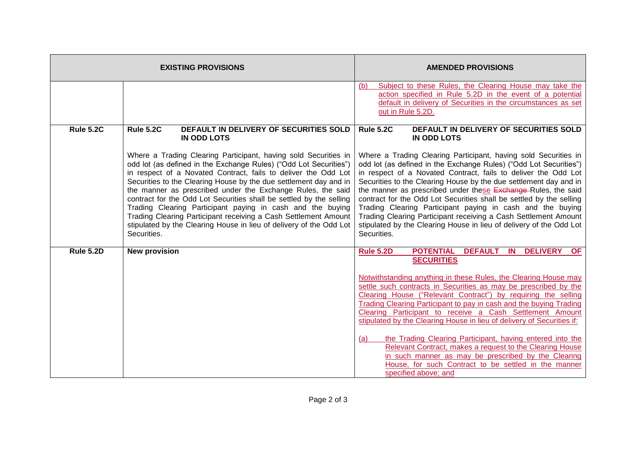|                  | <b>EXISTING PROVISIONS</b>                                                                                                                                                                                                                                                                                                                                                                                                                                                                                                                                                                                                               | <b>AMENDED PROVISIONS</b>                                                                                                                                                                                                                                                                                                                                                                                                                                                                                                                                                                                                                  |
|------------------|------------------------------------------------------------------------------------------------------------------------------------------------------------------------------------------------------------------------------------------------------------------------------------------------------------------------------------------------------------------------------------------------------------------------------------------------------------------------------------------------------------------------------------------------------------------------------------------------------------------------------------------|--------------------------------------------------------------------------------------------------------------------------------------------------------------------------------------------------------------------------------------------------------------------------------------------------------------------------------------------------------------------------------------------------------------------------------------------------------------------------------------------------------------------------------------------------------------------------------------------------------------------------------------------|
|                  |                                                                                                                                                                                                                                                                                                                                                                                                                                                                                                                                                                                                                                          | Subject to these Rules, the Clearing House may take the<br>(b)<br>action specified in Rule 5.2D in the event of a potential<br>default in delivery of Securities in the circumstances as set<br>out in Rule 5.2D.                                                                                                                                                                                                                                                                                                                                                                                                                          |
| <b>Rule 5.2C</b> | <b>Rule 5.2C</b><br>DEFAULT IN DELIVERY OF SECURITIES SOLD<br><b>IN ODD LOTS</b>                                                                                                                                                                                                                                                                                                                                                                                                                                                                                                                                                         | <b>Rule 5.2C</b><br>DEFAULT IN DELIVERY OF SECURITIES SOLD<br><b>IN ODD LOTS</b>                                                                                                                                                                                                                                                                                                                                                                                                                                                                                                                                                           |
|                  | Where a Trading Clearing Participant, having sold Securities in<br>odd lot (as defined in the Exchange Rules) ("Odd Lot Securities")<br>in respect of a Novated Contract, fails to deliver the Odd Lot<br>Securities to the Clearing House by the due settlement day and in<br>the manner as prescribed under the Exchange Rules, the said<br>contract for the Odd Lot Securities shall be settled by the selling<br>Trading Clearing Participant paying in cash and the buying<br>Trading Clearing Participant receiving a Cash Settlement Amount<br>stipulated by the Clearing House in lieu of delivery of the Odd Lot<br>Securities. | Where a Trading Clearing Participant, having sold Securities in<br>odd lot (as defined in the Exchange Rules) ("Odd Lot Securities")<br>in respect of a Novated Contract, fails to deliver the Odd Lot<br>Securities to the Clearing House by the due settlement day and in<br>the manner as prescribed under these Exchange-Rules, the said<br>contract for the Odd Lot Securities shall be settled by the selling<br>Trading Clearing Participant paying in cash and the buying<br>Trading Clearing Participant receiving a Cash Settlement Amount<br>stipulated by the Clearing House in lieu of delivery of the Odd Lot<br>Securities. |
| <b>Rule 5.2D</b> | <b>New provision</b>                                                                                                                                                                                                                                                                                                                                                                                                                                                                                                                                                                                                                     | <b>POTENTIAL</b><br><b>Rule 5.2D</b><br><b>DEFAULT</b><br>IN DELIVERY OF<br><b>SECURITIES</b>                                                                                                                                                                                                                                                                                                                                                                                                                                                                                                                                              |
|                  |                                                                                                                                                                                                                                                                                                                                                                                                                                                                                                                                                                                                                                          | Notwithstanding anything in these Rules, the Clearing House may<br>settle such contracts in Securities as may be prescribed by the<br>Clearing House ("Relevant Contract") by requiring the selling<br>Trading Clearing Participant to pay in cash and the buying Trading<br>Clearing Participant to receive a Cash Settlement Amount<br>stipulated by the Clearing House in lieu of delivery of Securities if:<br>the Trading Clearing Participant, having entered into the<br>(a)                                                                                                                                                        |
|                  |                                                                                                                                                                                                                                                                                                                                                                                                                                                                                                                                                                                                                                          | Relevant Contract, makes a request to the Clearing House<br>in such manner as may be prescribed by the Clearing<br>House, for such Contract to be settled in the manner<br>specified above; and                                                                                                                                                                                                                                                                                                                                                                                                                                            |